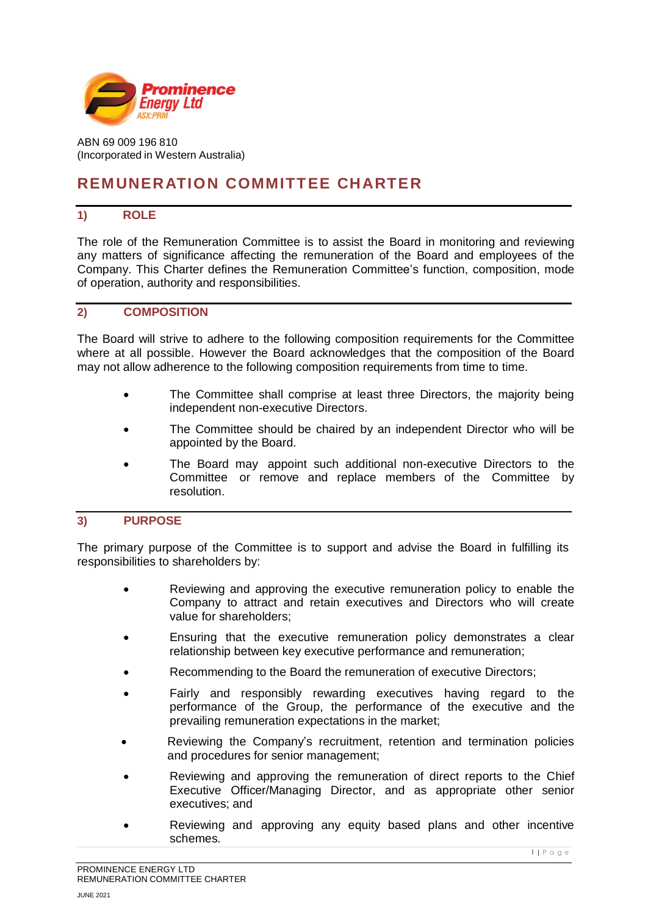

ABN 69 009 196 810 (Incorporated in Western Australia)

# **REMUNERATION COMMITTEE CHARTER**

# **1) ROLE**

The role of the Remuneration Committee is to assist the Board in monitoring and reviewing any matters of significance affecting the remuneration of the Board and employees of the Company. This Charter defines the Remuneration Committee's function, composition, mode of operation, authority and responsibilities.

## **2) COMPOSITION**

The Board will strive to adhere to the following composition requirements for the Committee where at all possible. However the Board acknowledges that the composition of the Board may not allow adherence to the following composition requirements from time to time.

- The Committee shall comprise at least three Directors, the majority being independent non-executive Directors.
- The Committee should be chaired by an independent Director who will be appointed by the Board.
- The Board may appoint such additional non-executive Directors to the Committee or remove and replace members of the Committee by resolution.

# **3) PURPOSE**

The primary purpose of the Committee is to support and advise the Board in fulfilling its responsibilities to shareholders by:

- Reviewing and approving the executive remuneration policy to enable the Company to attract and retain executives and Directors who will create value for shareholders;
- Ensuring that the executive remuneration policy demonstrates a clear relationship between key executive performance and remuneration;
- Recommending to the Board the remuneration of executive Directors;
- Fairly and responsibly rewarding executives having regard to the performance of the Group, the performance of the executive and the prevailing remuneration expectations in the market;
- Reviewing the Company's recruitment, retention and termination policies and procedures for senior management;
- Reviewing and approving the remuneration of direct reports to the Chief Executive Officer/Managing Director, and as appropriate other senior executives; and
- Reviewing and approving any equity based plans and other incentive schemes.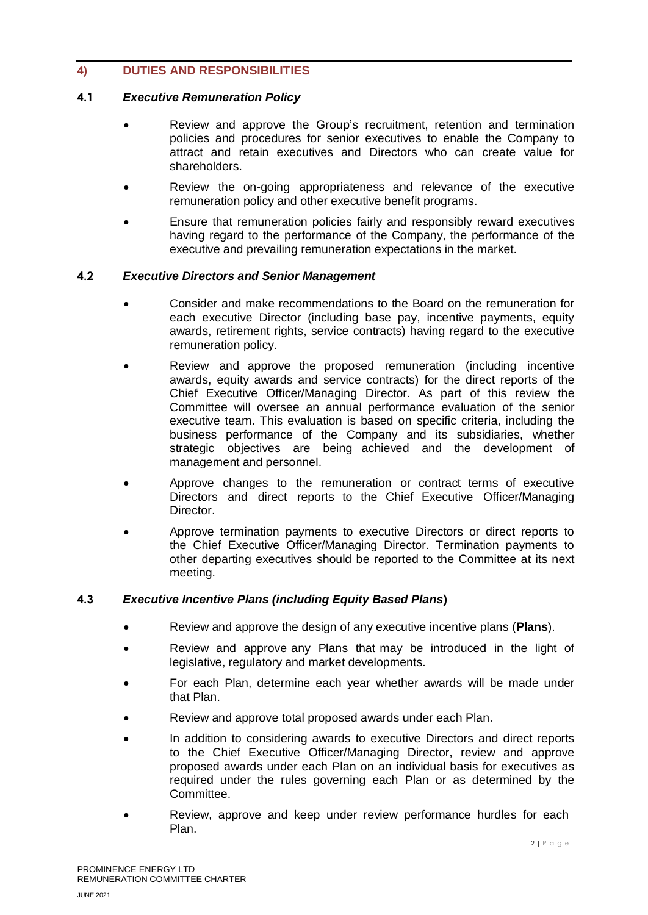# **4) DUTIES AND RESPONSIBILITIES**

#### **4.1** *Executive Remuneration Policy*

- Review and approve the Group's recruitment, retention and termination policies and procedures for senior executives to enable the Company to attract and retain executives and Directors who can create value for shareholders.
- Review the on-going appropriateness and relevance of the executive remuneration policy and other executive benefit programs.
- Ensure that remuneration policies fairly and responsibly reward executives having regard to the performance of the Company, the performance of the executive and prevailing remuneration expectations in the market.

#### **4.2** *Executive Directors and Senior Management*

- Consider and make recommendations to the Board on the remuneration for each executive Director (including base pay, incentive payments, equity awards, retirement rights, service contracts) having regard to the executive remuneration policy.
- Review and approve the proposed remuneration (including incentive awards, equity awards and service contracts) for the direct reports of the Chief Executive Officer/Managing Director. As part of this review the Committee will oversee an annual performance evaluation of the senior executive team. This evaluation is based on specific criteria, including the business performance of the Company and its subsidiaries, whether strategic objectives are being achieved and the development of management and personnel.
- Approve changes to the remuneration or contract terms of executive Directors and direct reports to the Chief Executive Officer/Managing Director.
- Approve termination payments to executive Directors or direct reports to the Chief Executive Officer/Managing Director. Termination payments to other departing executives should be reported to the Committee at its next meeting.

## **4.3** *Executive Incentive Plans (including Equity Based Plans***)**

- Review and approve the design of any executive incentive plans (**Plans**).
- Review and approve any Plans that may be introduced in the light of legislative, regulatory and market developments.
- For each Plan, determine each year whether awards will be made under that Plan.
- Review and approve total proposed awards under each Plan.
- In addition to considering awards to executive Directors and direct reports to the Chief Executive Officer/Managing Director, review and approve proposed awards under each Plan on an individual basis for executives as required under the rules governing each Plan or as determined by the Committee.
- Review, approve and keep under review performance hurdles for each Plan.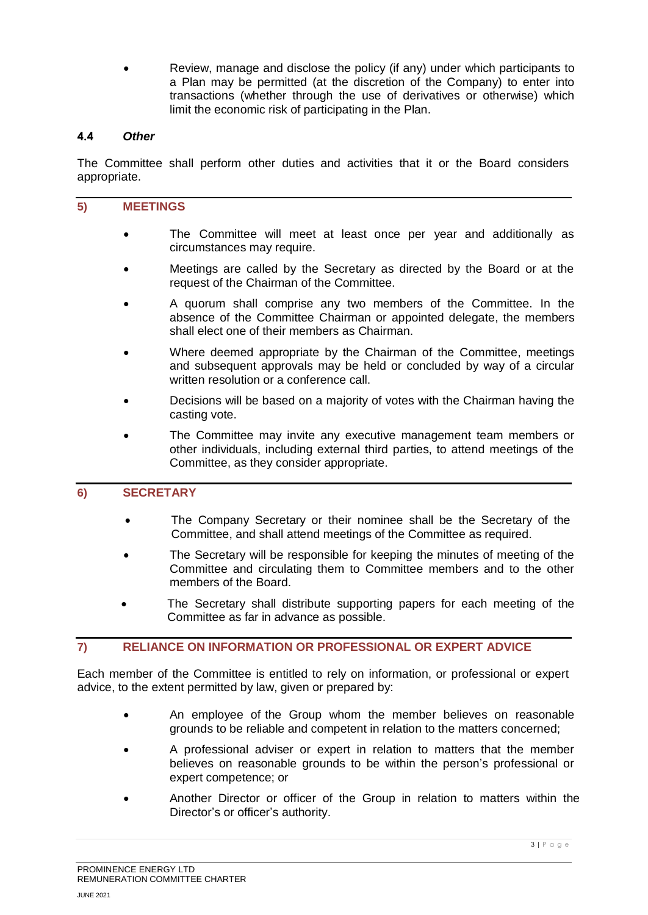• Review, manage and disclose the policy (if any) under which participants to a Plan may be permitted (at the discretion of the Company) to enter into transactions (whether through the use of derivatives or otherwise) which limit the economic risk of participating in the Plan.

# **4.4** *Other*

The Committee shall perform other duties and activities that it or the Board considers appropriate.

#### **5) MEETINGS**

- The Committee will meet at least once per year and additionally as circumstances may require.
- Meetings are called by the Secretary as directed by the Board or at the request of the Chairman of the Committee.
- A quorum shall comprise any two members of the Committee. In the absence of the Committee Chairman or appointed delegate, the members shall elect one of their members as Chairman.
- Where deemed appropriate by the Chairman of the Committee, meetings and subsequent approvals may be held or concluded by way of a circular written resolution or a conference call.
- Decisions will be based on a majority of votes with the Chairman having the casting vote.
- The Committee may invite any executive management team members or other individuals, including external third parties, to attend meetings of the Committee, as they consider appropriate.

# **6) SECRETARY**

- The Company Secretary or their nominee shall be the Secretary of the Committee, and shall attend meetings of the Committee as required.
- The Secretary will be responsible for keeping the minutes of meeting of the Committee and circulating them to Committee members and to the other members of the Board.
- The Secretary shall distribute supporting papers for each meeting of the Committee as far in advance as possible.

## **7) RELIANCE ON INFORMATION OR PROFESSIONAL OR EXPERT ADVICE**

Each member of the Committee is entitled to rely on information, or professional or expert advice, to the extent permitted by law, given or prepared by:

- An employee of the Group whom the member believes on reasonable grounds to be reliable and competent in relation to the matters concerned;
- A professional adviser or expert in relation to matters that the member believes on reasonable grounds to be within the person's professional or expert competence; or
- Another Director or officer of the Group in relation to matters within the Director's or officer's authority.